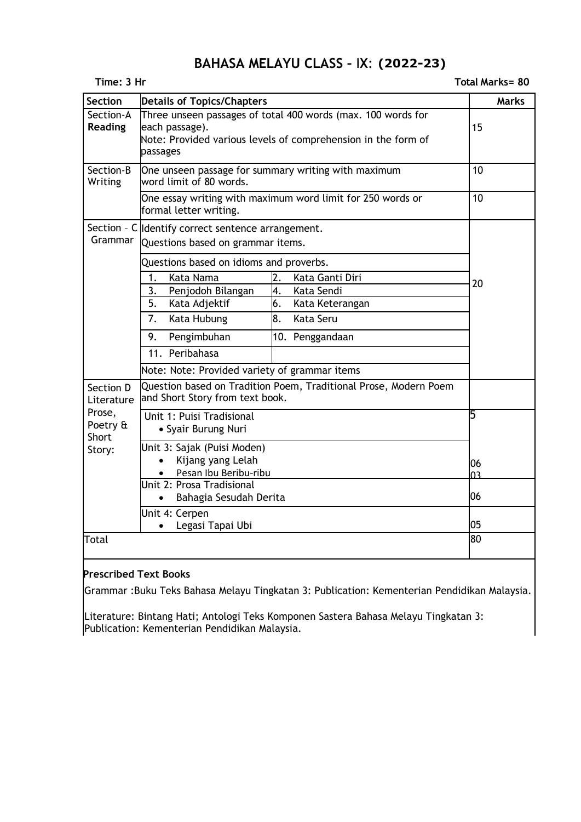# **BAHASA MELAYU CLASS –** I**X**: **2020-2021 (2022-23)**

|  |  | <b>Total Marks= 80</b> |  |
|--|--|------------------------|--|
|--|--|------------------------|--|

| Time: 3 Hr<br>Total Marks= 80         |                                                                                                                                                             |              |
|---------------------------------------|-------------------------------------------------------------------------------------------------------------------------------------------------------------|--------------|
| <b>Section</b>                        | <b>Details of Topics/Chapters</b>                                                                                                                           | <b>Marks</b> |
| Section-A<br><b>Reading</b>           | Three unseen passages of total 400 words (max. 100 words for<br>each passage).<br>Note: Provided various levels of comprehension in the form of<br>passages | 15           |
| Section-B<br>Writing                  | One unseen passage for summary writing with maximum<br>word limit of 80 words.                                                                              | 10           |
|                                       | One essay writing with maximum word limit for 250 words or<br>formal letter writing.                                                                        | 10           |
| Grammar                               | Section - C Identify correct sentence arrangement.<br>Questions based on grammar items.                                                                     |              |
|                                       | Questions based on idioms and proverbs.                                                                                                                     |              |
|                                       | 2.<br>1 <sub>1</sub><br>Kata Nama<br>Kata Ganti Diri                                                                                                        | 20           |
|                                       | 3.<br>4.<br>Kata Sendi<br>Penjodoh Bilangan                                                                                                                 |              |
|                                       | 5.<br>Kata Adjektif<br>6.<br>Kata Keterangan                                                                                                                |              |
|                                       | 7.<br>8.<br>Kata Seru<br>Kata Hubung                                                                                                                        |              |
|                                       | 9.<br>Pengimbuhan<br>10. Penggandaan                                                                                                                        |              |
|                                       | 11. Peribahasa                                                                                                                                              |              |
|                                       | Note: Note: Provided variety of grammar items                                                                                                               |              |
| Section D<br>Literature               | Question based on Tradition Poem, Traditional Prose, Modern Poem<br>and Short Story from text book.                                                         |              |
| Prose,<br>Poetry &<br>Short<br>Story: | Unit 1: Puisi Tradisional<br>• Syair Burung Nuri                                                                                                            | 5            |
|                                       | Unit 3: Sajak (Puisi Moden)<br>Kijang yang Lelah<br>$\bullet$                                                                                               | 06           |
|                                       | Pesan Ibu Beribu-ribu<br>$\bullet$                                                                                                                          | n٦           |
|                                       | Unit 2: Prosa Tradisional<br>Bahagia Sesudah Derita                                                                                                         | 06           |
|                                       | Unit 4: Cerpen<br>Legasi Tapai Ubi                                                                                                                          | 05           |
| Total                                 |                                                                                                                                                             | 80           |

### **Prescribed Text Books**

Grammar :Buku Teks Bahasa Melayu Tingkatan 3: Publication: Kementerian Pendidikan Malaysia.

Literature: Bintang Hati; Antologi Teks Komponen Sastera Bahasa Melayu Tingkatan 3: Publication: Kementerian Pendidikan Malaysia.